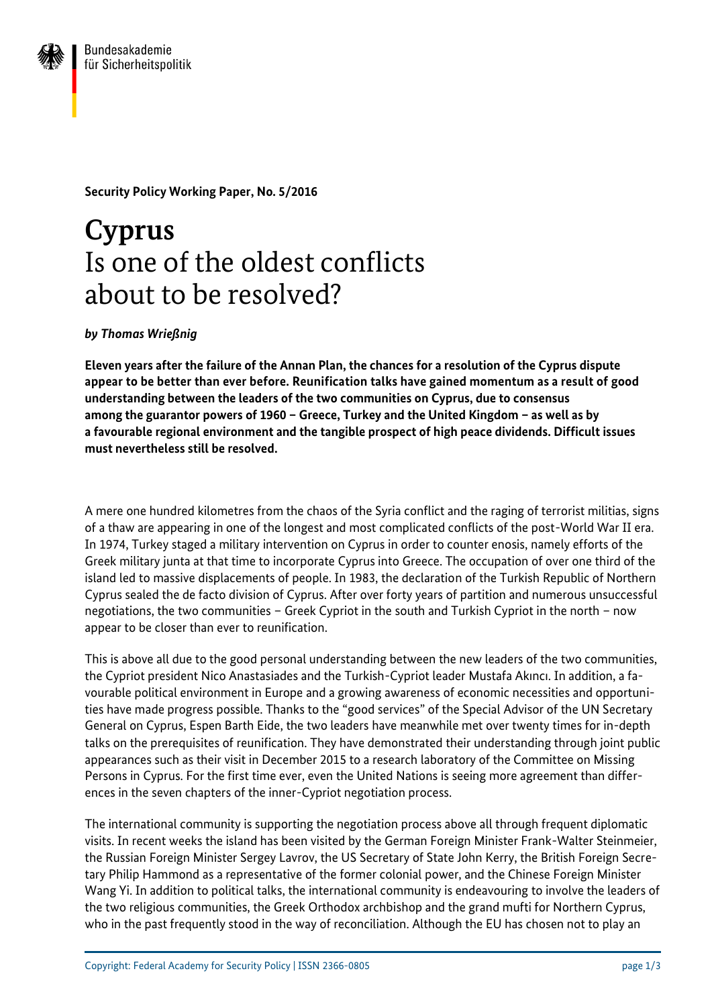

**Security Policy Working Paper, No. 5/2016**

## **Cyprus**  Is one of the oldest conflicts about to be resolved?

## *by Thomas Wrießnig*

**Eleven years after the failure of the Annan Plan, the chances for a resolution of the Cyprus dispute appear to be better than ever before. Reunification talks have gained momentum as a result of good understanding between the leaders of the two communities on Cyprus, due to consensus among the guarantor powers of 1960 – Greece, Turkey and the United Kingdom – as well as by a favourable regional environment and the tangible prospect of high peace dividends. Difficult issues must nevertheless still be resolved.**

A mere one hundred kilometres from the chaos of the Syria conflict and the raging of terrorist militias, signs of a thaw are appearing in one of the longest and most complicated conflicts of the post-World War II era. In 1974, Turkey staged a military intervention on Cyprus in order to counter enosis, namely efforts of the Greek military junta at that time to incorporate Cyprus into Greece. The occupation of over one third of the island led to massive displacements of people. In 1983, the declaration of the Turkish Republic of Northern Cyprus sealed the de facto division of Cyprus. After over forty years of partition and numerous unsuccessful negotiations, the two communities – Greek Cypriot in the south and Turkish Cypriot in the north – now appear to be closer than ever to reunification.

This is above all due to the good personal understanding between the new leaders of the two communities, the Cypriot president Nico Anastasiades and the Turkish-Cypriot leader Mustafa Akıncı. In addition, a favourable political environment in Europe and a growing awareness of economic necessities and opportunities have made progress possible. Thanks to the "good services" of the Special Advisor of the UN Secretary General on Cyprus, Espen Barth Eide, the two leaders have meanwhile met over twenty times for in-depth talks on the prerequisites of reunification. They have demonstrated their understanding through joint public appearances such as their visit in December 2015 to a research laboratory of the Committee on Missing Persons in Cyprus. For the first time ever, even the United Nations is seeing more agreement than differences in the seven chapters of the inner-Cypriot negotiation process.

The international community is supporting the negotiation process above all through frequent diplomatic visits. In recent weeks the island has been visited by the German Foreign Minister Frank-Walter Steinmeier, the Russian Foreign Minister Sergey Lavrov, the US Secretary of State John Kerry, the British Foreign Secretary Philip Hammond as a representative of the former colonial power, and the Chinese Foreign Minister Wang Yi. In addition to political talks, the international community is endeavouring to involve the leaders of the two religious communities, the Greek Orthodox archbishop and the grand mufti for Northern Cyprus, who in the past frequently stood in the way of reconciliation. Although the EU has chosen not to play an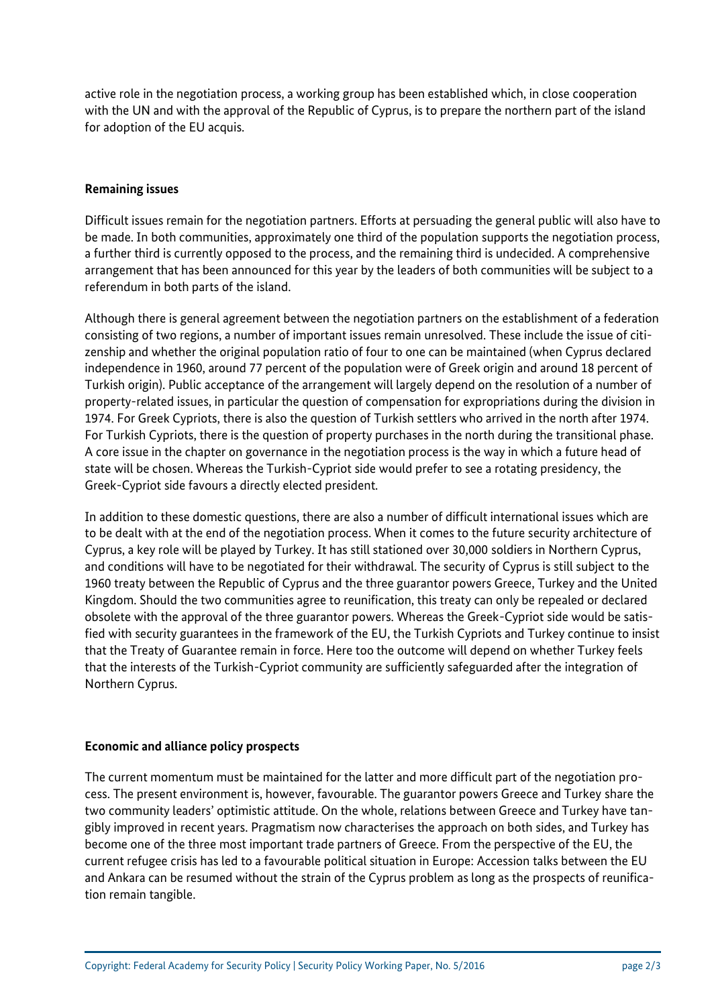active role in the negotiation process, a working group has been established which, in close cooperation with the UN and with the approval of the Republic of Cyprus, is to prepare the northern part of the island for adoption of the EU acquis.

## **Remaining issues**

Difficult issues remain for the negotiation partners. Efforts at persuading the general public will also have to be made. In both communities, approximately one third of the population supports the negotiation process, a further third is currently opposed to the process, and the remaining third is undecided. A comprehensive arrangement that has been announced for this year by the leaders of both communities will be subject to a referendum in both parts of the island.

Although there is general agreement between the negotiation partners on the establishment of a federation consisting of two regions, a number of important issues remain unresolved. These include the issue of citizenship and whether the original population ratio of four to one can be maintained (when Cyprus declared independence in 1960, around 77 percent of the population were of Greek origin and around 18 percent of Turkish origin). Public acceptance of the arrangement will largely depend on the resolution of a number of property-related issues, in particular the question of compensation for expropriations during the division in 1974. For Greek Cypriots, there is also the question of Turkish settlers who arrived in the north after 1974. For Turkish Cypriots, there is the question of property purchases in the north during the transitional phase. A core issue in the chapter on governance in the negotiation process is the way in which a future head of state will be chosen. Whereas the Turkish-Cypriot side would prefer to see a rotating presidency, the Greek-Cypriot side favours a directly elected president.

In addition to these domestic questions, there are also a number of difficult international issues which are to be dealt with at the end of the negotiation process. When it comes to the future security architecture of Cyprus, a key role will be played by Turkey. It has still stationed over 30,000 soldiers in Northern Cyprus, and conditions will have to be negotiated for their withdrawal. The security of Cyprus is still subject to the 1960 treaty between the Republic of Cyprus and the three guarantor powers Greece, Turkey and the United Kingdom. Should the two communities agree to reunification, this treaty can only be repealed or declared obsolete with the approval of the three guarantor powers. Whereas the Greek-Cypriot side would be satisfied with security guarantees in the framework of the EU, the Turkish Cypriots and Turkey continue to insist that the Treaty of Guarantee remain in force. Here too the outcome will depend on whether Turkey feels that the interests of the Turkish-Cypriot community are sufficiently safeguarded after the integration of Northern Cyprus.

## **Economic and alliance policy prospects**

The current momentum must be maintained for the latter and more difficult part of the negotiation process. The present environment is, however, favourable. The guarantor powers Greece and Turkey share the two community leaders' optimistic attitude. On the whole, relations between Greece and Turkey have tangibly improved in recent years. Pragmatism now characterises the approach on both sides, and Turkey has become one of the three most important trade partners of Greece. From the perspective of the EU, the current refugee crisis has led to a favourable political situation in Europe: Accession talks between the EU and Ankara can be resumed without the strain of the Cyprus problem as long as the prospects of reunification remain tangible.